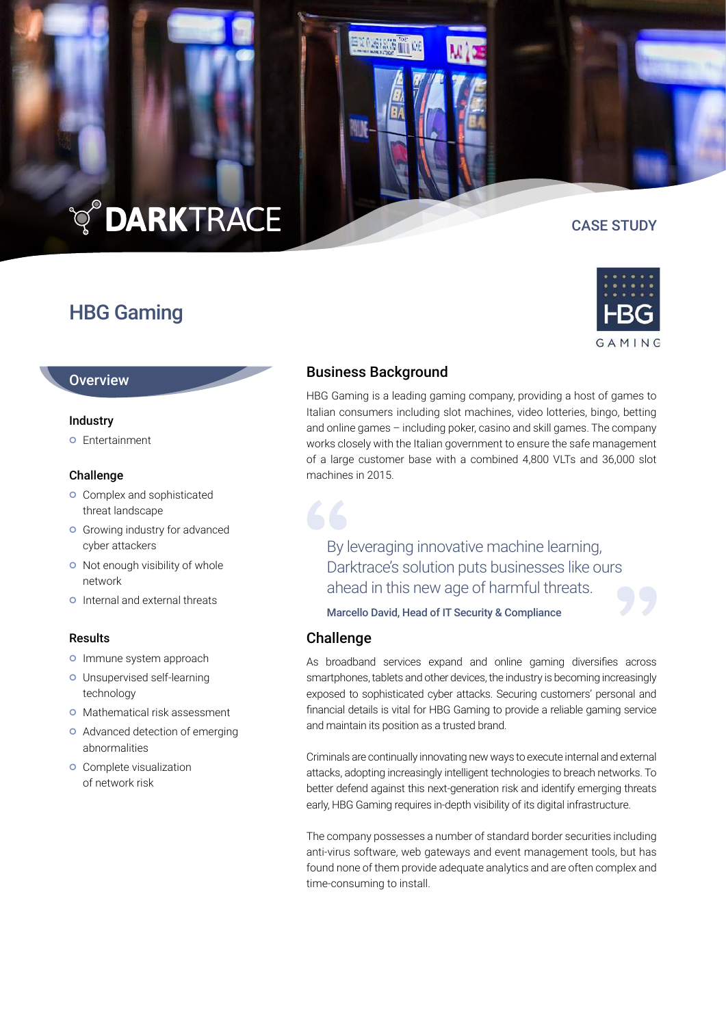# **TO DARKTRACE**

## HBG Gaming

CASE STUDY



#### **Overview**

#### **Industry**

**o** Entertainment

#### Challenge

- **o** Complex and sophisticated threat landscape
- **o** Growing industry for advanced cyber attackers
- o Not enough visibility of whole network
- **Q** Internal and external threats

#### Results

- o Immune system approach
- Unsupervised self-learning technology
- **O** Mathematical risk assessment
- **O** Advanced detection of emerging abnormalities
- **o** Complete visualization of network risk

### Business Background

**Therma** 

HBG Gaming is a leading gaming company, providing a host of games to Italian consumers including slot machines, video lotteries, bingo, betting and online games – including poker, casino and skill games. The company works closely with the Italian government to ensure the safe management of a large customer base with a combined 4,800 VLTs and 36,000 slot machines in 2015.

By leveraging innovative machine learning, Darktrace's solution puts businesses like ours ahead in this new age of harmful threats.

Marcello David, Head of IT Security & Compliance

#### Challenge

As broadband services expand and online gaming diversifies across smartphones, tablets and other devices, the industry is becoming increasingly exposed to sophisticated cyber attacks. Securing customers' personal and financial details is vital for HBG Gaming to provide a reliable gaming service and maintain its position as a trusted brand.

Criminals are continually innovating new ways to execute internal and external attacks, adopting increasingly intelligent technologies to breach networks. To better defend against this next-generation risk and identify emerging threats early, HBG Gaming requires in-depth visibility of its digital infrastructure.

The company possesses a number of standard border securities including anti-virus software, web gateways and event management tools, but has found none of them provide adequate analytics and are often complex and time-consuming to install.